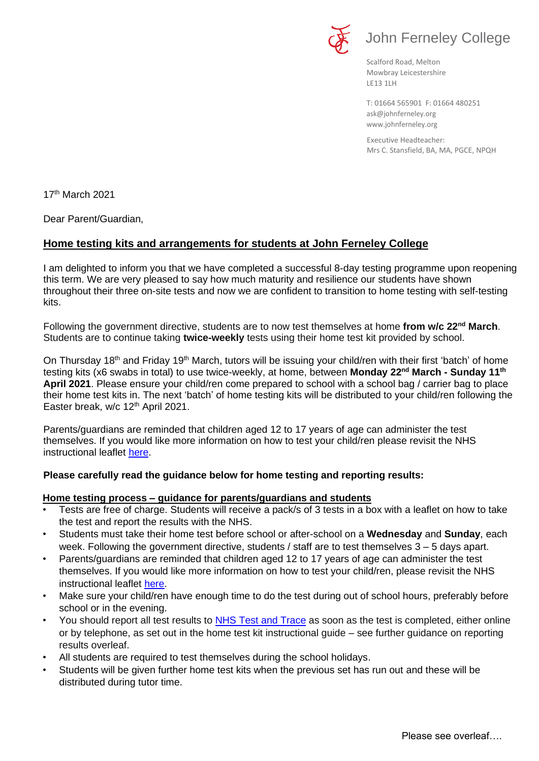

# John Ferneley College

Scalford Road, Melton Mowbray Leicestershire LE13 1LH

[ask@johnferneley.org](mailto:ask@johnferneley.org) [www.johnferneley.org](http://www.johnferneley.org/) T: 01664 565901 F: 01664 480251

 Executive Headteacher: Mrs C. Stansfield, BA, MA, PGCE, NPQH

17th March 2021

Dear Parent/Guardian,

## **Home testing kits and arrangements for students at John Ferneley College**

I am delighted to inform you that we have completed a successful 8-day testing programme upon reopening this term. We are very pleased to say how much maturity and resilience our students have shown throughout their three on-site tests and now we are confident to transition to home testing with self-testing kits.

Following the government directive, students are to now test themselves at home **from w/c 22nd March**. Students are to continue taking **twice-weekly** tests using their home test kit provided by school.

On Thursday 18<sup>th</sup> and Friday 19<sup>th</sup> March, tutors will be issuing your child/ren with their first 'batch' of home testing kits (x6 swabs in total) to use twice-weekly, at home, between **Monday 22nd March - Sunday 11th April 2021**. Please ensure your child/ren come prepared to school with a school bag / carrier bag to place their home test kits in. The next 'batch' of home testing kits will be distributed to your child/ren following the Easter break, w/c 12<sup>th</sup> April 2021.

Parents/guardians are reminded that children aged 12 to 17 years of age can administer the test themselves. If you would like more information on how to test your child/ren please revisit the NHS instructional leaflet [here.](https://www.johnferneley.org/attachments/download.asp?file=2287&type=pdf)

### **Please carefully read the guidance below for home testing and reporting results:**

### **Home testing process – guidance for parents/guardians and students**

- Tests are free of charge. Students will receive a pack/s of 3 tests in a box with a leaflet on how to take the test and report the results with the NHS.
- Students must take their home test before school or after-school on a **Wednesday** and **Sunday**, each week. Following the government directive, students / staff are to test themselves 3 – 5 days apart.
- Parents/guardians are reminded that children aged 12 to 17 years of age can administer the test themselves. If you would like more information on how to test your child/ren, please revisit the NHS instructional leaflet [here.](https://www.johnferneley.org/attachments/download.asp?file=2287&type=pdf)
- Make sure your child/ren have enough time to do the test during out of school hours, preferably before school or in the evening.
- You should report all test results to [NHS Test and Trace](https://www.gov.uk/report-covid19-result) as soon as the test is completed, either online or by telephone, as set out in the home test kit instructional guide – see further guidance on reporting results overleaf.
- All students are required to test themselves during the school holidays.
- Students will be given further home test kits when the previous set has run out and these will be distributed during tutor time.